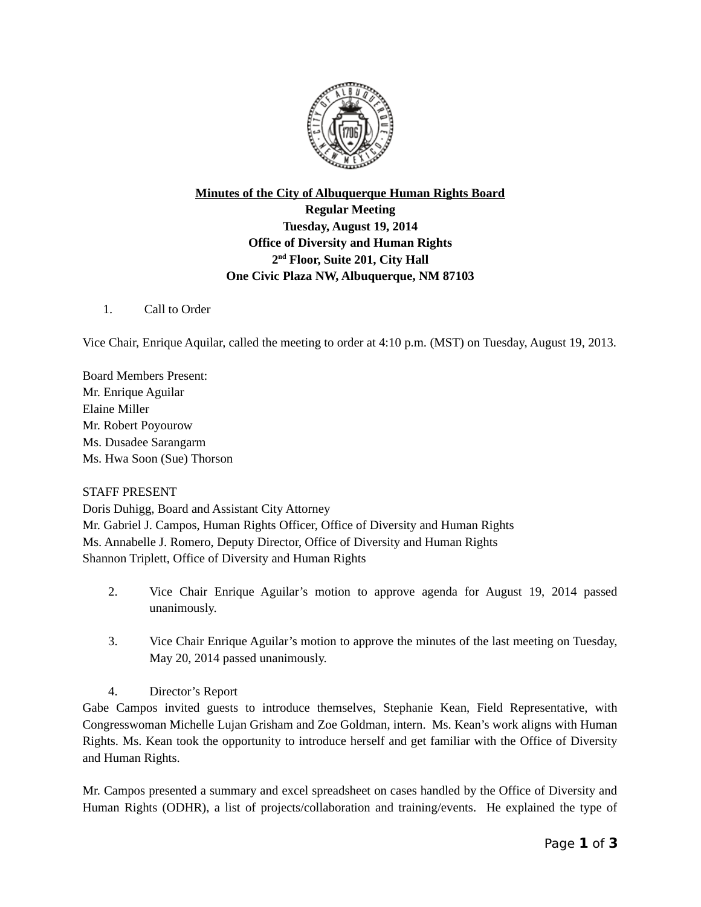

## **Minutes of the City of Albuquerque Human Rights Board Regular Meeting Tuesday, August 19, 2014 Office of Diversity and Human Rights 2 nd Floor, Suite 201, City Hall One Civic Plaza NW, Albuquerque, NM 87103**

1. Call to Order

Vice Chair, Enrique Aquilar, called the meeting to order at 4:10 p.m. (MST) on Tuesday, August 19, 2013.

Board Members Present: Mr. Enrique Aguilar Elaine Miller Mr. Robert Poyourow Ms. Dusadee Sarangarm Ms. Hwa Soon (Sue) Thorson

## STAFF PRESENT

Doris Duhigg, Board and Assistant City Attorney Mr. Gabriel J. Campos, Human Rights Officer, Office of Diversity and Human Rights Ms. Annabelle J. Romero, Deputy Director, Office of Diversity and Human Rights Shannon Triplett, Office of Diversity and Human Rights

- 2. Vice Chair Enrique Aguilar's motion to approve agenda for August 19, 2014 passed unanimously.
- 3. Vice Chair Enrique Aguilar's motion to approve the minutes of the last meeting on Tuesday, May 20, 2014 passed unanimously.
- 4. Director's Report

Gabe Campos invited guests to introduce themselves, Stephanie Kean, Field Representative, with Congresswoman Michelle Lujan Grisham and Zoe Goldman, intern. Ms. Kean's work aligns with Human Rights. Ms. Kean took the opportunity to introduce herself and get familiar with the Office of Diversity and Human Rights.

Mr. Campos presented a summary and excel spreadsheet on cases handled by the Office of Diversity and Human Rights (ODHR), a list of projects/collaboration and training/events. He explained the type of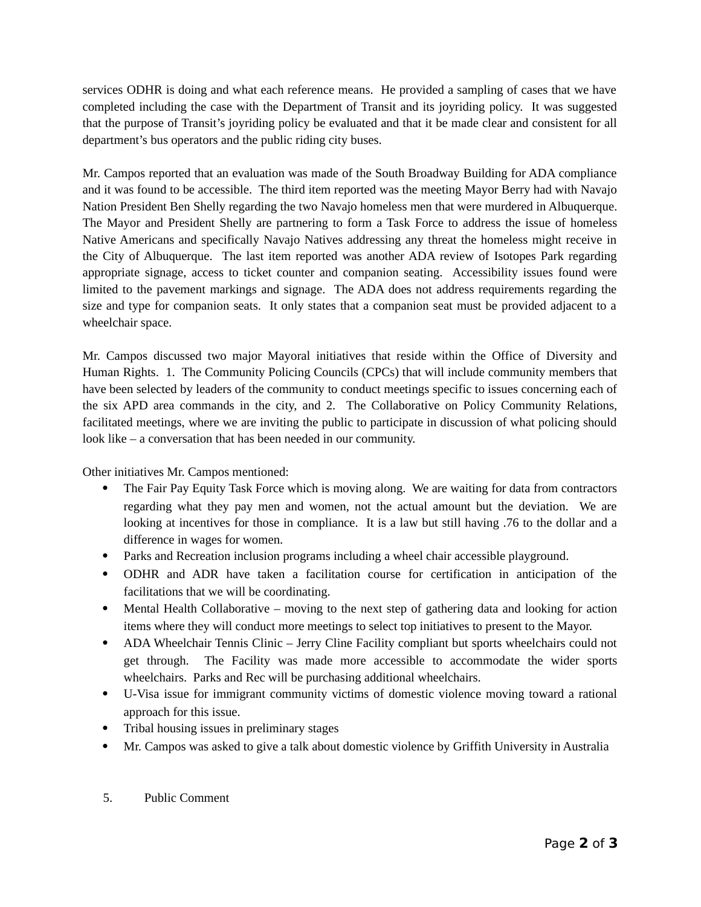services ODHR is doing and what each reference means. He provided a sampling of cases that we have completed including the case with the Department of Transit and its joyriding policy. It was suggested that the purpose of Transit's joyriding policy be evaluated and that it be made clear and consistent for all department's bus operators and the public riding city buses.

Mr. Campos reported that an evaluation was made of the South Broadway Building for ADA compliance and it was found to be accessible. The third item reported was the meeting Mayor Berry had with Navajo Nation President Ben Shelly regarding the two Navajo homeless men that were murdered in Albuquerque. The Mayor and President Shelly are partnering to form a Task Force to address the issue of homeless Native Americans and specifically Navajo Natives addressing any threat the homeless might receive in the City of Albuquerque. The last item reported was another ADA review of Isotopes Park regarding appropriate signage, access to ticket counter and companion seating. Accessibility issues found were limited to the pavement markings and signage. The ADA does not address requirements regarding the size and type for companion seats. It only states that a companion seat must be provided adjacent to a wheelchair space.

Mr. Campos discussed two major Mayoral initiatives that reside within the Office of Diversity and Human Rights. 1. The Community Policing Councils (CPCs) that will include community members that have been selected by leaders of the community to conduct meetings specific to issues concerning each of the six APD area commands in the city, and 2. The Collaborative on Policy Community Relations, facilitated meetings, where we are inviting the public to participate in discussion of what policing should look like – a conversation that has been needed in our community.

Other initiatives Mr. Campos mentioned:

- The Fair Pay Equity Task Force which is moving along. We are waiting for data from contractors regarding what they pay men and women, not the actual amount but the deviation. We are looking at incentives for those in compliance. It is a law but still having .76 to the dollar and a difference in wages for women.
- Parks and Recreation inclusion programs including a wheel chair accessible playground.
- ODHR and ADR have taken a facilitation course for certification in anticipation of the facilitations that we will be coordinating.
- Mental Health Collaborative moving to the next step of gathering data and looking for action items where they will conduct more meetings to select top initiatives to present to the Mayor.
- ADA Wheelchair Tennis Clinic Jerry Cline Facility compliant but sports wheelchairs could not get through. The Facility was made more accessible to accommodate the wider sports wheelchairs. Parks and Rec will be purchasing additional wheelchairs.
- U-Visa issue for immigrant community victims of domestic violence moving toward a rational approach for this issue.
- Tribal housing issues in preliminary stages
- Mr. Campos was asked to give a talk about domestic violence by Griffith University in Australia
- 5. Public Comment